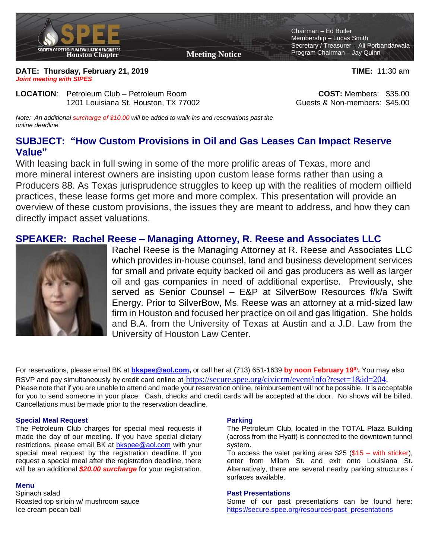

**DATE: Thursday, February 21, 2019 TIME:** 11:30 am *Joint meeting with SIPES*

**LOCATION**: Petroleum Club – Petroleum Room **COST:** Members: \$35.00 1201 Louisiana St. Houston, TX 77002 Guests & Non-members: \$45.00

*Note: An additional surcharge of \$10.00 will be added to walk-ins and reservations past the online deadline.* 

# **SUBJECT: "How Custom Provisions in Oil and Gas Leases Can Impact Reserve Value"**

With leasing back in full swing in some of the more prolific areas of Texas, more and more mineral interest owners are insisting upon custom lease forms rather than using a Producers 88. As Texas jurisprudence struggles to keep up with the realities of modern oilfield practices, these lease forms get more and more complex. This presentation will provide an overview of these custom provisions, the issues they are meant to address, and how they can directly impact asset valuations.

### **SPEAKER: Rachel Reese – Managing Attorney, R. Reese and Associates LLC**



Rachel Reese is the Managing Attorney at R. Reese and Associates LLC which provides in-house counsel, land and business development services for small and private equity backed oil and gas producers as well as larger oil and gas companies in need of additional expertise. Previously, she served as Senior Counsel – E&P at SilverBow Resources f/k/a Swift Energy. Prior to SilverBow, Ms. Reese was an attorney at a mid-sized law firm in Houston and focused her practice on oil and gas litigation. She holds and B.A. from the University of Texas at Austin and a J.D. Law from the University of Houston Law Center.

For reservations, please email BK at **[bkspee@aol.com,](mailto:bkspee@aol.com)** or call her at (713) 651-1639 **by noon February 19 th .** You may also RSVP and pay simultaneously by credit card online at https://secure.spee.org/civicrm/event/info?reset=1&id=204. Please note that if you are unable to attend and made your reservation online, reimbursement will not be possible. It is acceptable for you to send someone in your place. Cash, checks and credit cards will be accepted at the door. No shows will be billed. Cancellations must be made prior to the reservation deadline.

#### **Special Meal Request**

The Petroleum Club charges for special meal requests if made the day of our meeting. If you have special dietary restrictions, please email BK at [bkspee@aol.com](mailto:bkspee@aol.com) with your special meal request by the registration deadline. If you request a special meal after the registration deadline, there will be an additional *\$20.00 surcharge* for your registration.

#### **Menu**

Spinach salad Roasted top sirloin w/ mushroom sauce Ice cream pecan ball

### **Parking**

The Petroleum Club, located in the TOTAL Plaza Building (across from the Hyatt) is connected to the downtown tunnel system.

To access the valet parking area \$25 (\$15 – with sticker), enter from Milam St. and exit onto Louisiana St. Alternatively, there are several nearby parking structures / surfaces available.

### **Past Presentations**

Some of our past presentations can be found here: [https://secure.spee.org/resources/past\\_presentations](https://secure.spee.org/resources/past_presentations)